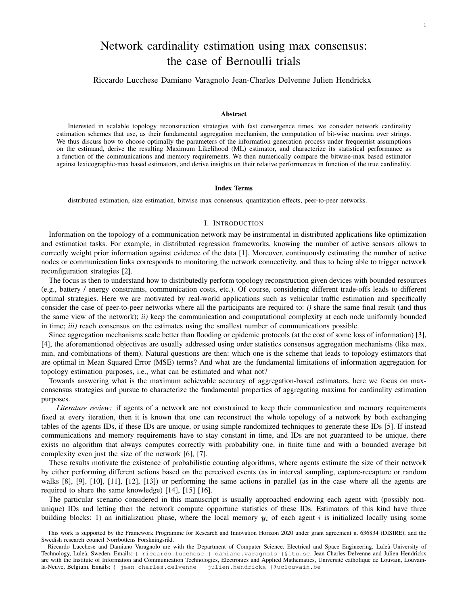# Network cardinality estimation using max consensus: the case of Bernoulli trials

1

Riccardo Lucchese Damiano Varagnolo Jean-Charles Delvenne Julien Hendrickx

#### Abstract

Interested in scalable topology reconstruction strategies with fast convergence times, we consider network cardinality estimation schemes that use, as their fundamental aggregation mechanism, the computation of bit-wise maxima over strings. We thus discuss how to choose optimally the parameters of the information generation process under frequentist assumptions on the estimand, derive the resulting Maximum Likelihood (ML) estimator, and characterize its statistical performance as a function of the communications and memory requirements. We then numerically compare the bitwise-max based estimator against lexicographic-max based estimators, and derive insights on their relative performances in function of the true cardinality.

### Index Terms

distributed estimation, size estimation, bitwise max consensus, quantization effects, peer-to-peer networks.

#### I. INTRODUCTION

Information on the topology of a communication network may be instrumental in distributed applications like optimization and estimation tasks. For example, in distributed regression frameworks, knowing the number of active sensors allows to correctly weight prior information against evidence of the data [1]. Moreover, continuously estimating the number of active nodes or communication links corresponds to monitoring the network connectivity, and thus to being able to trigger network reconfiguration strategies [2].

The focus is then to understand how to distributedly perform topology reconstruction given devices with bounded resources (e.g., battery / energy constraints, communication costs, etc.). Of course, considering different trade-offs leads to different optimal strategies. Here we are motivated by real-world applications such as vehicular traffic estimation and specifically consider the case of peer-to-peer networks where all the participants are required to: *i)* share the same final result (and thus the same view of the network); *ii)* keep the communication and computational complexity at each node uniformly bounded in time; *iii*) reach consensus on the estimates using the smallest number of communications possible.

Since aggregation mechanisms scale better than flooding or epidemic protocols (at the cost of some loss of information) [3], [4], the aforementioned objectives are usually addressed using order statistics consensus aggregation mechanisms (like max, min, and combinations of them). Natural questions are then: which one is the scheme that leads to topology estimators that are optimal in Mean Squared Error (MSE) terms? And what are the fundamental limitations of information aggregation for topology estimation purposes, i.e., what can be estimated and what not?

Towards answering what is the maximum achievable accuracy of aggregation-based estimators, here we focus on maxconsensus strategies and pursue to characterize the fundamental properties of aggregating maxima for cardinality estimation purposes.

*Literature review:* if agents of a network are not constrained to keep their communication and memory requirements fixed at every iteration, then it is known that one can reconstruct the whole topology of a network by both exchanging tables of the agents IDs, if these IDs are unique, or using simple randomized techniques to generate these IDs [5]. If instead communications and memory requirements have to stay constant in time, and IDs are not guaranteed to be unique, there exists no algorithm that always computes correctly with probability one, in finite time and with a bounded average bit complexity even just the size of the network [6], [7].

These results motivate the existence of probabilistic counting algorithms, where agents estimate the size of their network by either performing different actions based on the perceived events (as in interval sampling, capture-recapture or random walks [8], [9], [10], [11], [12], [13]) or performing the same actions in parallel (as in the case where all the agents are required to share the same knowledge) [14], [15] [16].

The particular scenario considered in this manuscript is usually approached endowing each agent with (possibly nonunique) IDs and letting then the network compute opportune statistics of these IDs. Estimators of this kind have three building blocks: 1) an initialization phase, where the local memory  $y_i$  of each agent i is initialized locally using some

This work is supported by the Framework Programme for Research and Innovation Horizon 2020 under grant agreement n. 636834 (DISIRE), and the Swedish research council Norrbottens Forskningsråd.

Riccardo Lucchese and Damiano Varagnolo are with the Department of Computer Science, Electrical and Space Engineering, Luleå University of Technology, Luleå, Sweden. Emails: { riccardo.lucchese | damiano.varagnolo }@ltu.se. Jean-Charles Delvenne and Julien Hendrickx are with the Institute of Information and Communication Technologies, Electronics and Applied Mathematics, Université catholique de Louvain, Louvainla-Neuve, Belgium. Emails: { jean-charles.delvenne | julien.hendrickx } @uclouvain.be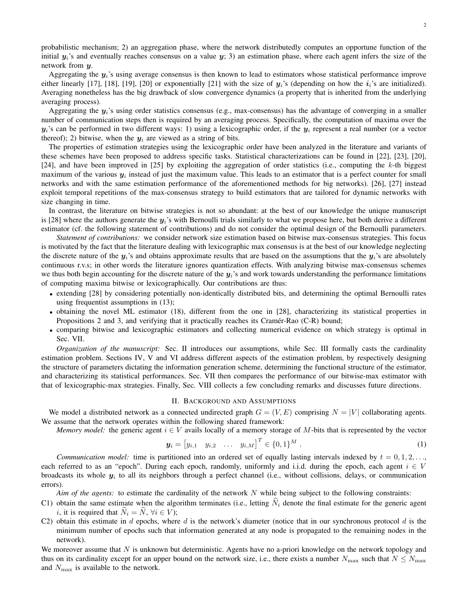probabilistic mechanism; 2) an aggregation phase, where the network distributedly computes an opportune function of the initial  $y_i$ 's and eventually reaches consensus on a value  $y_i$ ; 3) an estimation phase, where each agent infers the size of the network from y.

Aggregating the  $y_i$ 's using average consensus is then known to lead to estimators whose statistical performance improve either linearly [17], [18], [19], [20] or exponentially [21] with the size of  $y_i$ 's (depending on how the  $i_i$ 's are initialized). Averaging nonetheless has the big drawback of slow convergence dynamics (a property that is inherited from the underlying averaging process).

Aggregating the  $y_i$ 's using order statistics consensus (e.g., max-consensus) has the advantage of converging in a smaller number of communication steps then is required by an averaging process. Specifically, the computation of maxima over the  $y_i$ 's can be performed in two different ways: 1) using a lexicographic order, if the  $y_i$  represent a real number (or a vector thereof); 2) bitwise, when the  $y_i$  are viewed as a string of bits.

The properties of estimation strategies using the lexicographic order have been analyzed in the literature and variants of these schemes have been proposed to address specific tasks. Statistical characterizations can be found in [22], [23], [20], [24], and have been improved in [25] by exploiting the aggregation of order statistics (i.e., computing the k-th biggest maximum of the various  $y_i$  instead of just the maximum value. This leads to an estimator that is a perfect counter for small networks and with the same estimation performance of the aforementioned methods for big networks). [26], [27] instead exploit temporal repetitions of the max-consensus strategy to build estimators that are tailored for dynamic networks with size changing in time.

In contrast, the literature on bitwise strategies is not so abundant: at the best of our knowledge the unique manuscript is [28] where the authors generate the  $y_i$ 's with Bernoulli trials similarly to what we propose here, but both derive a different estimator (cf. the following statement of contributions) and do not consider the optimal design of the Bernoulli parameters.

*Statement of contributions:* we consider network size estimation based on bitwise max-consensus strategies. This focus is motivated by the fact that the literature dealing with lexicographic max consensus is at the best of our knowledge neglecting the discrete nature of the  $y_i$ 's and obtains approximate results that are based on the assumptions that the  $y_i$ 's are absolutely continuous r.v.s; in other words the literature ignores quantization effects. With analyzing bitwise max-consensus schemes we thus both begin accounting for the discrete nature of the  $y_i$ 's and work towards understanding the performance limitations of computing maxima bitwise or lexicographically. Our contributions are thus:

- extending [28] by considering potentially non-identically distributed bits, and determining the optimal Bernoulli rates using frequentist assumptions in (13);
- obtaining the novel ML estimator (18), different from the one in [28], characterizing its statistical properties in Propositions 2 and 3, and verifying that it practically reaches its Cramér-Rao (C-R) bound;
- comparing bitwise and lexicographic estimators and collecting numerical evidence on which strategy is optimal in Sec. VII.

*Organization of the manuscript:* Sec. II introduces our assumptions, while Sec. III formally casts the cardinality estimation problem. Sections IV, V and VI address different aspects of the estimation problem, by respectively designing the structure of parameters dictating the information generation scheme, determining the functional structure of the estimator, and characterizing its statistical performances. Sec. VII then compares the performance of our bitwise-max estimator with that of lexicographic-max strategies. Finally, Sec. VIII collects a few concluding remarks and discusses future directions.

# II. BACKGROUND AND ASSUMPTIONS

We model a distributed network as a connected undirected graph  $G = (V, E)$  comprising  $N = |V|$  collaborating agents. We assume that the network operates within the following shared framework:

*Memory model:* the generic agent  $i \in V$  avails locally of a memory storage of M-bits that is represented by the vector

$$
\mathbf{y}_i = [y_{i,1} \quad y_{i,2} \quad \dots \quad y_{i,M}]^T \in \{0,1\}^M \tag{1}
$$

*Communication model:* time is partitioned into an ordered set of equally lasting intervals indexed by  $t = 0, 1, 2, \ldots$ , each referred to as an "epoch". During each epoch, randomly, uniformly and i.i.d. during the epoch, each agent  $i \in V$ broadcasts its whole  $y_i$  to all its neighbors through a perfect channel (i.e., without collisions, delays, or communication errors).

*Aim of the agents:* to estimate the cardinality of the network N while being subject to the following constraints:

- C1) obtain the same estimate when the algorithm terminates (i.e., letting  $\hat{N}_i$  denote the final estimate for the generic agent *i*, it is required that  $\hat{N}_i = \hat{N}$ ,  $\forall i \in V$ ;
- C2) obtain this estimate in  $d$  epochs, where  $d$  is the network's diameter (notice that in our synchronous protocol  $d$  is the minimum number of epochs such that information generated at any node is propagated to the remaining nodes in the network).

We moreover assume that  $N$  is unknown but deterministic. Agents have no a-priori knowledge on the network topology and thus on its cardinality except for an upper bound on the network size, i.e., there exists a number  $N_{\text{max}}$  such that  $N \le N_{\text{max}}$ and  $N_{\text{max}}$  is available to the network.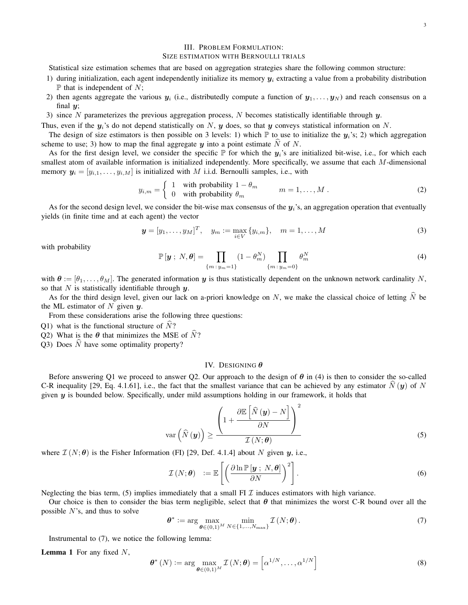# III. PROBLEM FORMULATION:

#### SIZE ESTIMATION WITH BERNOULLI TRIALS

Statistical size estimation schemes that are based on aggregation strategies share the following common structure:

- 1) during initialization, each agent independently initialize its memory  $y_i$  extracting a value from a probability distribution  $\mathbb P$  that is independent of N;
- 2) then agents aggregate the various  $y_i$  (i.e., distributedly compute a function of  $y_1, \ldots, y_N$ ) and reach consensus on a final  $y$ ;
- 3) since N parameterizes the previous aggregation process, N becomes statistically identifiable through  $y$ .

Thus, even if the  $y_i$ 's do not depend statistically on N, y does, so that y conveys statistical information on N.

The design of size estimators is then possible on 3 levels: 1) which  $\mathbb P$  to use to initialize the  $y_i$ 's; 2) which aggregation scheme to use; 3) how to map the final aggregate  $y$  into a point estimate  $\hat{N}$  of N.

As for the first design level, we consider the specific  $\mathbb P$  for which the  $y_i$ 's are initialized bit-wise, i.e., for which each smallest atom of available information is initialized independently. More specifically, we assume that each M-dimensional memory  $y_i = [y_{i,1}, \ldots, y_{i,M}]$  is initialized with M i.i.d. Bernoulli samples, i.e., with

$$
y_{i,m} = \begin{cases} 1 & \text{with probability } 1 - \theta_m \\ 0 & \text{with probability } \theta_m \end{cases} \qquad m = 1, \dots, M \tag{2}
$$

As for the second design level, we consider the bit-wise max consensus of the  $y_i$ 's, an aggregation operation that eventually yields (in finite time and at each agent) the vector

$$
\mathbf{y} = [y_1, \dots, y_M]^T, \quad y_m := \max_{i \in V} \{y_{i,m}\}, \quad m = 1, \dots, M
$$
 (3)

with probability

$$
\mathbb{P}\left[\mathbf{y}\; ;\; N, \boldsymbol{\theta}\right] = \prod_{\{m\; : \; y_m = 1\}} \left(1 - \theta_m^N\right) \prod_{\{m\; : \; y_m = 0\}} \theta_m^N \tag{4}
$$

with  $\theta := [\theta_1, \dots, \theta_M]$ . The generated information y is thus statistically dependent on the unknown network cardinality N, so that N is statistically identifiable through  $y$ .

As for the third design level, given our lack on a-priori knowledge on N, we make the classical choice of letting  $\hat{N}$  be the ML estimator of  $N$  given  $y$ .

From these considerations arise the following three questions:

- Q1) what is the functional structure of  $\dot{N}$ ?
- Q2) What is the  $\theta$  that minimizes the MSE of  $\dot{N}$ ?
- Q3) Does  $\hat{N}$  have some optimality property?

#### IV. DESIGNING  $\theta$

Before answering Q1 we proceed to answer Q2. Our approach to the design of  $\theta$  in (4) is then to consider the so-called C-R inequality [29, Eq. 4.1.61], i.e., the fact that the smallest variance that can be achieved by any estimator  $\hat{N}(\bm{y})$  of N given y is bounded below. Specifically, under mild assumptions holding in our framework, it holds that

$$
\operatorname{var}\left(\widehat{N}\left(\boldsymbol{y}\right)\right) \ge \frac{\left(1 + \frac{\partial \mathbb{E}\left[\widehat{N}\left(\boldsymbol{y}\right) - N\right]}{\partial N}\right)^2}{\mathcal{I}\left(N; \boldsymbol{\theta}\right)}
$$
(5)

where  $\mathcal{I}(N; \theta)$  is the Fisher Information (FI) [29, Def. 4.1.4] about N given y, i.e.,

$$
\mathcal{I}(N;\boldsymbol{\theta}) := \mathbb{E}\left[\left(\frac{\partial \ln \mathbb{P}[\boldsymbol{y} \; ; \; N, \boldsymbol{\theta}]}{\partial N}\right)^2\right].
$$
 (6)

Neglecting the bias term, (5) implies immediately that a small FI  $\mathcal I$  induces estimators with high variance.

Our choice is then to consider the bias term negligible, select that  $\theta$  that minimizes the worst C-R bound over all the possible  $N$ 's, and thus to solve

$$
\boldsymbol{\theta}^* := \arg \max_{\boldsymbol{\theta} \in (0,1)^M} \min_{N \in \{1,\dots,N_{\text{max}}\}} \mathcal{I}(N; \boldsymbol{\theta}). \tag{7}
$$

Instrumental to (7), we notice the following lemma:

**Lemma 1** For any fixed  $N$ ,

$$
\boldsymbol{\theta}^* (N) := \arg \max_{\boldsymbol{\theta} \in (0,1)^M} \mathcal{I} (N; \boldsymbol{\theta}) = \left[ \alpha^{1/N}, \dots, \alpha^{1/N} \right] \tag{8}
$$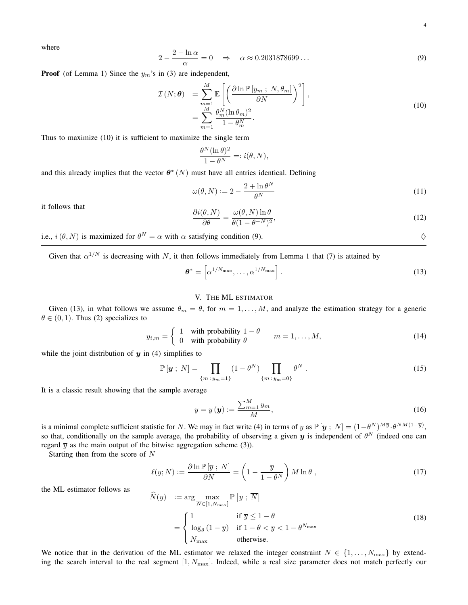where

$$
2 - \frac{2 - \ln \alpha}{\alpha} = 0 \quad \Rightarrow \quad \alpha \approx 0.2031878699\dots \tag{9}
$$

**Proof** (of Lemma 1) Since the  $y_m$ 's in (3) are independent,

$$
\mathcal{I}(N; \theta) = \sum_{m=1}^{M} \mathbb{E}\left[\left(\frac{\partial \ln \mathbb{P}\left[y_m; N, \theta_m\right]}{\partial N}\right)^2\right],
$$
\n
$$
= \sum_{m=1}^{M} \frac{\theta_m^N (\ln \theta_m)^2}{1 - \theta_m^N}.
$$
\n(10)

Thus to maximize (10) it is sufficient to maximize the single term

$$
\frac{\theta^N (\ln \theta)^2}{1 - \theta^N} =: i(\theta, N),
$$

and this already implies that the vector  $\theta^*(N)$  must have all entries identical. Defining

$$
\omega(\theta, N) := 2 - \frac{2 + \ln \theta^N}{\theta^N} \tag{11}
$$

it follows that

$$
\frac{\partial i(\theta, N)}{\partial \theta} = \frac{\omega(\theta, N) \ln \theta}{\theta (1 - \theta^{-N})^2},\tag{12}
$$

i.e.,  $i(\theta, N)$  is maximized for  $\theta^N = \alpha$  with  $\alpha$  satisfying condition (9).

Given that  $\alpha^{1/N}$  is decreasing with N, it then follows immediately from Lemma 1 that (7) is attained by

$$
\boldsymbol{\theta}^* = \left[ \alpha^{1/N_{\text{max}}}, \dots, \alpha^{1/N_{\text{max}}} \right]. \tag{13}
$$

# V. THE ML ESTIMATOR

Given (13), in what follows we assume  $\theta_m = \theta$ , for  $m = 1, \dots, M$ , and analyze the estimation strategy for a generic  $\theta \in (0, 1)$ . Thus (2) specializes to

$$
y_{i,m} = \begin{cases} 1 & \text{with probability } 1 - \theta \\ 0 & \text{with probability } \theta \end{cases} \qquad m = 1, ..., M,
$$
 (14)

while the joint distribution of  $y$  in (4) simplifies to

$$
\mathbb{P}[\mathbf{y} \; ; \; N] = \prod_{\{m \; : \; y_m = 1\}} (1 - \theta^N) \prod_{\{m \; : \; y_m = 0\}} \theta^N \; . \tag{15}
$$

It is a classic result showing that the sample average

$$
\overline{y} = \overline{y}(\mathbf{y}) := \frac{\sum_{m=1}^{M} y_m}{M},\tag{16}
$$

is a minimal complete sufficient statistic for N. We may in fact write (4) in terms of  $\overline{y}$  as  $\mathbb{P} [y; N] = (1 - \theta^N)^{M\overline{y}} \cdot \theta^{NM(1-\overline{y})}$ , so that, conditionally on the sample average, the probability of observing a given  $y$  is independent of  $\theta^N$  (indeed one can regard  $\bar{y}$  as the main output of the bitwise aggregation scheme (3)).

Starting then from the score of N

$$
\ell(\overline{y};N) := \frac{\partial \ln \mathbb{P}[\overline{y};N]}{\partial N} = \left(1 - \frac{\overline{y}}{1 - \theta^N}\right)M\ln\theta,
$$
\n(17)

the ML estimator follows as

$$
\widehat{N}(\overline{y}) := \arg \max_{\overline{N} \in [1, N_{\text{max}}]} \mathbb{P} \left[ \overline{y} \ ; \ \overline{N} \right]
$$
\n
$$
= \begin{cases}\n1 & \text{if } \overline{y} \le 1 - \theta \\
\log_{\theta} (1 - \overline{y}) & \text{if } 1 - \theta < \overline{y} < 1 - \theta^{N_{\text{max}} } \\
N_{\text{max}} & \text{otherwise.} \n\end{cases}
$$
\n(18)

We notice that in the derivation of the ML estimator we relaxed the integer constraint  $N \in \{1, \ldots, N_{\text{max}}\}$  by extending the search interval to the real segment  $[1, N_{\text{max}}]$ . Indeed, while a real size parameter does not match perfectly our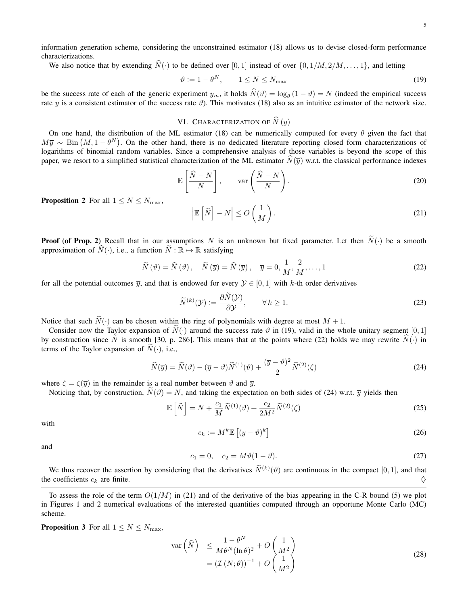information generation scheme, considering the unconstrained estimator (18) allows us to devise closed-form performance characterizations.

We also notice that by extending  $\hat{N}(\cdot)$  to be defined over [0, 1] instead of over  $\{0, 1/M, 2/M, \ldots, 1\}$ , and letting

$$
\vartheta := 1 - \theta^N, \qquad 1 \le N \le N_{\text{max}} \tag{19}
$$

be the success rate of each of the generic experiment  $y_m$ , it holds  $N(\theta) = \log_\theta(1 - \theta) = N$  (indeed the empirical success rate  $\overline{y}$  is a consistent estimator of the success rate  $\vartheta$ ). This motivates (18) also as an intuitive estimator of the network size.

# VI. CHARACTERIZATION OF  $\widehat{N}(\overline{y})$

On one hand, the distribution of the ML estimator (18) can be numerically computed for every  $\theta$  given the fact that  $M\overline{y} \sim \text{Bin}(M, 1 - \theta^N)$ . On the other hand, there is no dedicated literature reporting closed form characterizations of logarithms of binomial random variables. Since a comprehensive analysis of those variables is beyond the scope of this paper, we resort to a simplified statistical characterization of the ML estimator  $\tilde{N}(\bar{y})$  w.r.t. the classical performance indexes

$$
\mathbb{E}\left[\frac{\widehat{N}-N}{N}\right], \qquad \text{var}\left(\frac{\widehat{N}-N}{N}\right). \tag{20}
$$

**Proposition 2** For all  $1 \leq N \leq N_{\text{max}}$ ,

$$
\left|\mathbb{E}\left[\widehat{N}\right]-N\right|\leq O\left(\frac{1}{M}\right).
$$
\n(21)

**Proof (of Prop. 2)** Recall that in our assumptions N is an unknown but fixed parameter. Let then  $\tilde{N}(\cdot)$  be a smooth approximation of  $N(\cdot)$ , i.e., a function  $N : \mathbb{R} \to \mathbb{R}$  satisfying

$$
\widetilde{N}(\vartheta) = \widehat{N}(\vartheta), \quad \widetilde{N}(\overline{y}) = \widehat{N}(\overline{y}), \quad \overline{y} = 0, \frac{1}{M}, \frac{2}{M}, \dots, 1
$$
\n(22)

for all the potential outcomes  $\overline{y}$ , and that is endowed for every  $\mathcal{Y} \in [0,1]$  with k-th order derivatives

$$
\widetilde{N}^{(k)}(\mathcal{Y}) := \frac{\partial \widetilde{N}(\mathcal{Y})}{\partial \mathcal{Y}}, \qquad \forall \, k \ge 1.
$$
\n
$$
(23)
$$

Notice that such  $\tilde{N}(\cdot)$  can be chosen within the ring of polynomials with degree at most  $M + 1$ .

Consider now the Taylor expansion of  $\widetilde{N}(\cdot)$  around the success rate  $\vartheta$  in (19), valid in the whole unitary segment [0, 1] by construction since  $\tilde{N}$  is smooth [30, p. 286]. This means that at the points where (22) holds we may rewrite  $\tilde{N}(\cdot)$  in terms of the Taylor expansion of  $N(\cdot)$ , i.e.,

$$
\widehat{N}(\overline{y}) = \widetilde{N}(\vartheta) - (\overline{y} - \vartheta)\widetilde{N}^{(1)}(\vartheta) + \frac{(\overline{y} - \vartheta)^2}{2}\widetilde{N}^{(2)}(\zeta)
$$
\n(24)

where  $\zeta = \zeta(\overline{y})$  in the remainder is a real number between  $\vartheta$  and  $\overline{y}$ .

Noticing that, by construction,  $\tilde{N}(\vartheta) = N$ , and taking the expectation on both sides of (24) w.r.t.  $\overline{\vartheta}$  yields then

$$
\mathbb{E}\left[\widehat{N}\right] = N + \frac{c_1}{M}\widetilde{N}^{(1)}(\vartheta) + \frac{c_2}{2M^2}\widetilde{N}^{(2)}(\zeta)
$$
\n(25)

with

$$
c_k := M^k \mathbb{E}\left[ (\overline{y} - \vartheta)^k \right] \tag{26}
$$

and

$$
c_1 = 0, \quad c_2 = M\vartheta(1 - \vartheta). \tag{27}
$$

We thus recover the assertion by considering that the derivatives  $N^{(k)}(\theta)$  are continuous in the compact [0, 1], and that the coefficients  $c_k$  are finite.  $\Diamond$ 

**Proposition 3** For all  $1 \leq N \leq N_{\text{max}}$ ,

$$
\operatorname{var}\left(\widehat{N}\right) \le \frac{1-\theta^N}{M\theta^N(\ln\theta)^2} + O\left(\frac{1}{M^2}\right)
$$
  
=  $(\mathcal{I}(N;\theta))^{-1} + O\left(\frac{1}{M^2}\right)$  (28)

To assess the role of the term  $O(1/M)$  in (21) and of the derivative of the bias appearing in the C-R bound (5) we plot in Figures 1 and 2 numerical evaluations of the interested quantities computed through an opportune Monte Carlo (MC) scheme.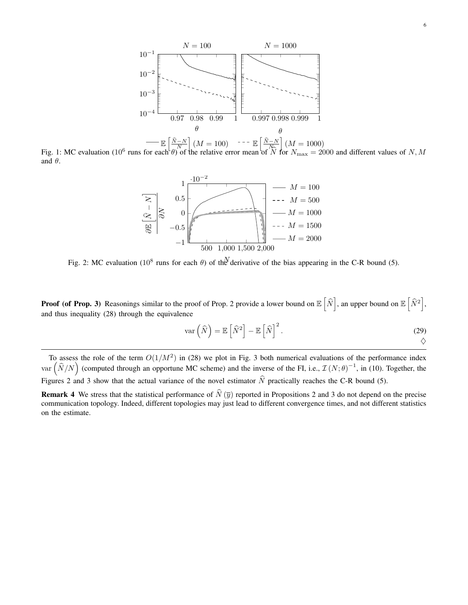

Fig. 1: MC evaluation (10<sup>6</sup> runs for each  $\theta$ ) of the relative error mean of  $\hat{N}$  for  $N_{\text{max}} = 2000$  and different values of N, M and  $\theta$ .



Fig. 2: MC evaluation (10<sup>8</sup> runs for each  $\theta$ ) of the derivative of the bias appearing in the C-R bound (5).

**Proof (of Prop. 3)** Reasonings similar to the proof of Prop. 2 provide a lower bound on  $\mathbb{E} \left[ \widehat{N} \right]$ , an upper bound on  $\mathbb{E} \left[ \widehat{N}^2 \right]$ , and thus inequality (28) through the equivalence

$$
\operatorname{var}\left(\widehat{N}\right) = \mathbb{E}\left[\widehat{N}^2\right] - \mathbb{E}\left[\widehat{N}\right]^2. \tag{29}
$$

To assess the role of the term  $O(1/M^2)$  in (28) we plot in Fig. 3 both numerical evaluations of the performance index var  $(\widehat{N}/N)$  (computed through an opportune MC scheme) and the inverse of the FI, i.e.,  $\mathcal{I}(N;\theta)^{-1}$ , in (10). Together, the Figures 2 and 3 show that the actual variance of the novel estimator  $\hat{N}$  practically reaches the C-R bound (5).

**Remark 4** We stress that the statistical performance of  $\hat{N}(\bar{y})$  reported in Propositions 2 and 3 do not depend on the precise communication topology. Indeed, different topologies may just lead to different convergence times, and not different statistics on the estimate.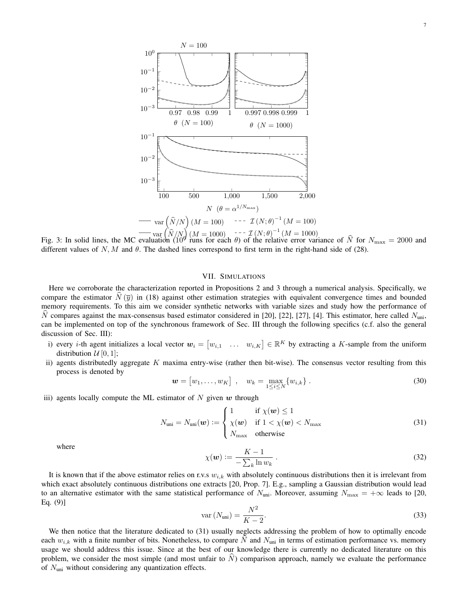

Fig. 3: In solid lines, the MC evaluation  $(10^9 \text{ runs for each } \theta)$  of the relative error variance of  $\hat{N}$  for  $N_{\text{max}} = 2000$  and different values of  $N, M$  and  $\theta$ . The dashed lines correspond to first term in the right-hand side of (28).

# VII. SIMULATIONS

Here we corroborate the characterization reported in Propositions 2 and 3 through a numerical analysis. Specifically, we compare the estimator  $\dot{N} (\bar{y})$  in (18) against other estimation strategies with equivalent convergence times and bounded memory requirements. To this aim we consider synthetic networks with variable sizes and study how the performance of N compares against the max-consensus based estimator considered in [20], [22], [27], [4]. This estimator, here called  $N_{\text{uni}}$ , can be implemented on top of the synchronous framework of Sec. III through the following specifics (c.f. also the general discussion of Sec. III):

- i) every *i*-th agent initializes a local vector  $w_i = [w_{i,1} \dots w_{i,K}] \in \mathbb{R}^K$  by extracting a K-sample from the uniform distribution  $\mathcal{U}[0,1]$ ;
- ii) agents distributedly aggregate K maxima entry-wise (rather then bit-wise). The consensus vector resulting from this process is denoted by

$$
\mathbf{w} = [w_1, \dots, w_K] \, , \quad w_k = \max_{1 \leq i \leq N} \{w_{i,k}\} \, . \tag{30}
$$

iii) agents locally compute the ML estimator of  $N$  given  $w$  through

$$
N_{\text{uni}} = N_{\text{uni}}(\boldsymbol{w}) := \begin{cases} 1 & \text{if } \chi(\boldsymbol{w}) \le 1 \\ \chi(\boldsymbol{w}) & \text{if } 1 < \chi(\boldsymbol{w}) < N_{\text{max}} \\ N_{\text{max}} & \text{otherwise} \end{cases} \tag{31}
$$

where

$$
\chi(\boldsymbol{w}) := \frac{K - 1}{-\sum_{k} \ln w_k} \,. \tag{32}
$$

It is known that if the above estimator relies on r.v.s  $w_{i,k}$  with absolutely continuous distributions then it is irrelevant from which exact absolutely continuous distributions one extracts [20, Prop. 7]. E.g., sampling a Gaussian distribution would lead to an alternative estimator with the same statistical performance of  $N_{\text{uni}}$ . Moreover, assuming  $N_{\text{max}} = +\infty$  leads to [20, Eq. (9)]

$$
\text{var}\left(N_{\text{uni}}\right) = \frac{N^2}{K - 2}.\tag{33}
$$

We then notice that the literature dedicated to (31) usually neglects addressing the problem of how to optimally encode each  $w_{i,k}$  with a finite number of bits. Nonetheless, to compare N and N<sub>uni</sub> in terms of estimation performance vs. memory usage we should address this issue. Since at the best of our knowledge there is currently no dedicated literature on this problem, we consider the most simple (and most unfair to  $\dot{N}$ ) comparison approach, namely we evaluate the performance of  $N_{\text{uni}}$  without considering any quantization effects.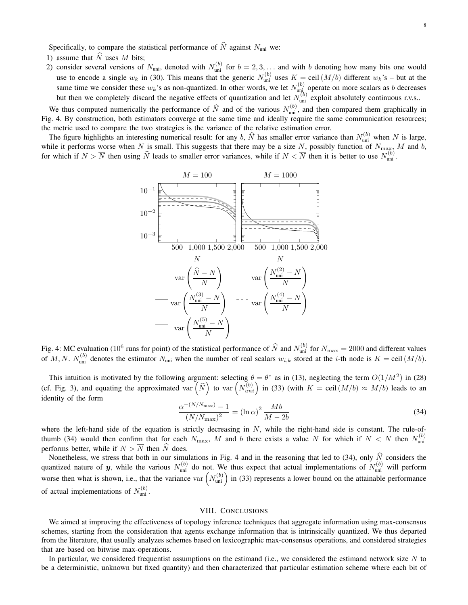Specifically, to compare the statistical performance of  $\widehat{N}$  against  $N_{\text{uni}}$  we:

- 1) assume that  $\widehat{N}$  uses M bits;
- 2) consider several versions of  $N_{\text{uni}}$ , denoted with  $N_{\text{uni}}^{(b)}$  for  $b = 2, 3, ...$  and with b denoting how many bits one would use to encode a single  $w_k$  in (30). This means that the generic  $N_{\text{uni}}^{(b)}$  uses  $K = \text{ceil}(M/b)$  different  $w_k$ 's – but at the same time we consider these  $w_k$ 's as non-quantized. In other words, we let  $N_{\text{unj}}^{(b)}$  operate on more scalars as b decreases but then we completely discard the negative effects of quantization and let  $N_{\text{uni}}^{(b)}$  exploit absolutely continuous r.v.s..

We thus computed numerically the performance of  $\hat{N}$  and of the various  $N_{\text{uni}}^{(b)}$ , and then compared them graphically in Fig. 4. By construction, both estimators converge at the same time and ideally require the same communication resources; the metric used to compare the two strategies is the variance of the relative estimation error.

The figure highlights an interesting numerical result: for any b,  $\hat{N}$  has smaller error variance than  $N_{\text{uni}}^{(b)}$  when N is large, while it performs worse when N is small. This suggests that there may be a size N, possibly function of  $N_{\text{max}}$ , M and b, for which if  $N > \overline{N}$  then using  $\widehat{N}$  leads to smaller error variances, while if  $N < \overline{N}$  then it is better to use  $N_{\text{uni}}^{(b)}$ .



Fig. 4: MC evaluation (10<sup>6</sup> runs for point) of the statistical performance of  $\hat{N}$  and  $N_{\text{uni}}^{(b)}$  for  $N_{\text{max}} = 2000$  and different values of M, N.  $N_{\text{uni}}^{(b)}$  denotes the estimator  $N_{\text{uni}}$  when the number of real scalars  $w_{i,k}$  stored at the *i*-th node is  $K = \text{ceil}(M/b)$ .

This intuition is motivated by the following argument: selecting  $\theta = \theta^*$  as in (13), neglecting the term  $O(1/M^2)$  in (28) (cf. Fig. 3), and equating the approximated var  $(\widehat{N})$  to var  $(N_{uni}^{(b)})$  in (33) (with  $K = \text{ceil}(M/b) \approx M/b$ ) leads to an identity of the form

$$
\frac{\alpha^{-(N/N_{\text{max}})} - 1}{(N/N_{\text{max}})^2} = (\ln \alpha)^2 \frac{Mb}{M - 2b}
$$
\n(34)

where the left-hand side of the equation is strictly decreasing in  $N$ , while the right-hand side is constant. The rule-ofthumb (34) would then confirm that for each  $N_{\rm max}$ , M and b there exists a value  $\overline{N}$  for which if  $N < \overline{N}$  then  $N_{\rm uni}^{(b)}$ performs better, while if  $N > \overline{N}$  then  $\hat{N}$  does.

Nonetheless, we stress that both in our simulations in Fig. 4 and in the reasoning that led to (34), only  $\hat{N}$  considers the quantized nature of y, while the various  $N_{\text{uni}}^{(b)}$  do not. We thus expect that actual implementations of  $N_{\text{uni}}^{(b)}$  will perform worse then what is shown, i.e., that the variance var  $(N_{\text{uni}}^{(b)})$  in (33) represents a lower bound on the attainable performance of actual implementations of  $N_{\text{uni}}^{(b)}$ .

#### VIII. CONCLUSIONS

We aimed at improving the effectiveness of topology inference techniques that aggregate information using max-consensus schemes, starting from the consideration that agents exchange information that is intrinsically quantized. We thus departed from the literature, that usually analyzes schemes based on lexicographic max-consensus operations, and considered strategies that are based on bitwise max-operations.

In particular, we considered frequentist assumptions on the estimand (i.e., we considered the estimand network size  $N$  to be a deterministic, unknown but fixed quantity) and then characterized that particular estimation scheme where each bit of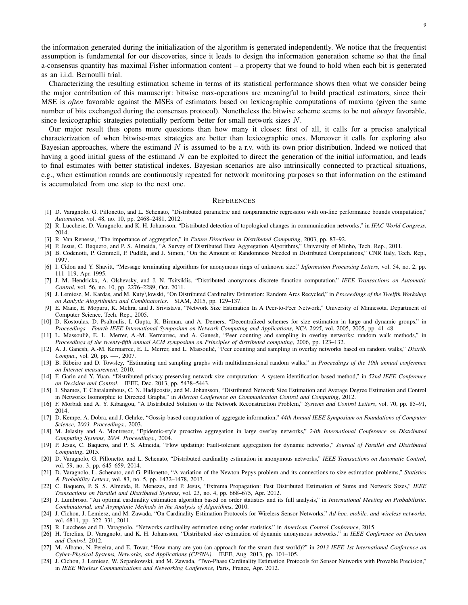the information generated during the initialization of the algorithm is generated independently. We notice that the frequentist assumption is fundamental for our discoveries, since it leads to design the information generation scheme so that the final a-consensus quantity has maximal Fisher information content – a property that we found to hold when each bit is generated as an i.i.d. Bernoulli trial.

Characterizing the resulting estimation scheme in terms of its statistical performance shows then what we consider being the major contribution of this manuscript: bitwise max-operations are meaningful to build practical estimators, since their MSE is *often* favorable against the MSEs of estimators based on lexicographic computations of maxima (given the same number of bits exchanged during the consensus protocol). Nonetheless the bitwise scheme seems to be not *always* favorable, since lexicographic strategies potentially perform better for small network sizes N.

Our major result thus opens more questions than how many it closes: first of all, it calls for a precise analytical characterization of when bitwise-max strategies are better than lexicographic ones. Moreover it calls for exploring also Bayesian approaches, where the estimand  $N$  is assumed to be a r.v. with its own prior distribution. Indeed we noticed that having a good initial guess of the estimand  $N$  can be exploited to direct the generation of the initial information, and leads to final estimates with better statistical indexes. Bayesian scenarios are also intrinsically connected to practical situations, e.g., when estimation rounds are continuously repeated for network monitoring purposes so that information on the estimand is accumulated from one step to the next one.

#### **REFERENCES**

- [1] D. Varagnolo, G. Pillonetto, and L. Schenato, "Distributed parametric and nonparametric regression with on-line performance bounds computation," *Automatica*, vol. 48, no. 10, pp. 2468–2481, 2012.
- [2] R. Lucchese, D. Varagnolo, and K. H. Johansson, "Distributed detection of topological changes in communication networks," in *IFAC World Congress*, 2014.
- [3] R. Van Renesse, "The importance of aggregation," in *Future Directions in Distributed Computing*, 2003, pp. 87–92.
- [4] P. Jesus, C. Baquero, and P. S. Almeida, "A Survey of Distributed Data Aggregation Algorithms," University of Minho, Tech. Rep., 2011.
- [5] B. Codenotti, P. Gemmell, P. Pudlák, and J. Simon, "On the Amount of Randomness Needed in Distributed Computations," CNR Italy, Tech. Rep., 1997.
- [6] I. Cidon and Y. Shavitt, "Message terminating algorithms for anonymous rings of unknown size," *Information Processing Letters*, vol. 54, no. 2, pp. 111–119, Apr. 1995.
- [7] J. M. Hendrickx, A. Olshevsky, and J. N. Tsitsiklis, "Distributed anonymous discrete function computation," *IEEE Transactions on Automatic Control*, vol. 56, no. 10, pp. 2276–2289, Oct. 2011.
- [8] J. Lemiesz, M. Kardas, and M. Kuty\lowski, "On Distributed Cardinality Estimation: Random Arcs Recycled," in *Proceedings of the Twelfth Workshop on Aanlytic Alogrithmics and Combinatorics*. SIAM, 2015, pp. 129–137.
- [9] E. Mane, E. Mopuru, K. Mehra, and J. Srivistava, "Network Size Estimation In A Peer-to-Peer Network," University of Minnesota, Department of Computer Science, Tech. Rep., 2005.
- [10] D. Kostoulas, D. Psaltoulis, I. Gupta, K. Birman, and A. Demers, "Decentralized schemes for size estimation in large and dynamic groups," in *Proceedings - Fourth IEEE International Symposium on Network Computing and Applications, NCA 2005*, vol. 2005, 2005, pp. 41–48.
- [11] L. Massouliè, E. L. Merrer, A.-M. Kermarrec, and A. Ganesh, "Peer counting and sampling in overlay networks: random walk methods," in *Proceedings of the twenty-fifth annual ACM symposium on Principles of distributed computing*, 2006, pp. 123–132.
- [12] A. J. Ganesh, A.-M. Kermarrec, E. L. Merrer, and L. Massoulié, "Peer counting and sampling in overlay networks based on random walks," *Distrib. Comput.*, vol. 20, pp. —-, 2007.
- [13] B. Ribeiro and D. Towsley, "Estimating and sampling graphs with multidimensional random walks," in *Proceedings of the 10th annual conference on Internet measurement*, 2010.
- [14] F. Garin and Y. Yuan, "Distributed privacy-preserving network size computation: A system-identification based method," in *52nd IEEE Conference on Decision and Control*. IEEE, Dec. 2013, pp. 5438–5443.
- [15] I. Shames, T. Charalambous, C. N. Hadjicostis, and M. Johansson, "Distributed Network Size Estimation and Average Degree Estimation and Control in Networks Isomorphic to Directed Graphs," in *Allerton Conference on Communication Control and Computing*, 2012.
- [16] F. Morbidi and A. Y. Kibangou, "A Distributed Solution to the Network Reconstruction Problem," *Systems and Control Letters*, vol. 70, pp. 85–91, 2014.
- [17] D. Kempe, A. Dobra, and J. Gehrke, "Gossip-based computation of aggregate information," *44th Annual IEEE Symposium on Foundations of Computer Science, 2003. Proceedings.*, 2003.
- [18] M. Jelasity and A. Montresor, "Epidemic-style proactive aggregation in large overlay networks," *24th International Conference on Distributed Computing Systems, 2004. Proceedings.*, 2004.
- [19] P. Jesus, C. Baquero, and P. S. Almeida, "Flow updating: Fault-tolerant aggregation for dynamic networks," *Journal of Parallel and Distributed Computing*, 2015.
- [20] D. Varagnolo, G. Pillonetto, and L. Schenato, "Distributed cardinality estimation in anonymous networks," *IEEE Transactions on Automatic Control*, vol. 59, no. 3, pp. 645–659, 2014.
- [21] D. Varagnolo, L. Schenato, and G. Pillonetto, "A variation of the Newton-Pepys problem and its connections to size-estimation problems," *Statistics & Probability Letters*, vol. 83, no. 5, pp. 1472–1478, 2013.
- [22] C. Baquero, P. S. S. Almeida, R. Menezes, and P. Jesus, "Extrema Propagation: Fast Distributed Estimation of Sums and Network Sizes," *IEEE Transactions on Parallel and Distributed Systems*, vol. 23, no. 4, pp. 668–675, Apr. 2012.
- [23] J. Lumbroso, "An optimal cardinality estimation algorithm based on order statistics and its full analysis," in *International Meeting on Probabilistic, Combinatorial, and Asymptotic Methods in the Analysis of Algorithms*, 2010.
- [24] J. Cichon, J. Lemiesz, and M. Zawada, "On Cardinality Estimation Protocols for Wireless Sensor Networks," *Ad-hoc, mobile, and wireless networks*, vol. 6811, pp. 322–331, 2011.
- [25] R. Lucchese and D. Varagnolo, "Networks cardinality estimation using order statistics," in *American Control Conference*, 2015.
- [26] H. Terelius, D. Varagnolo, and K. H. Johansson, "Distributed size estimation of dynamic anonymous networks." in *IEEE Conference on Decision and Control*, 2012.
- [27] M. Albano, N. Pereira, and E. Tovar, "How many are you (an approach for the smart dust world)?" in *2013 IEEE 1st International Conference on Cyber-Physical Systems, Networks, and Applications (CPSNA)*. IEEE, Aug. 2013, pp. 101–105.
- [28] J. Cichon, J. Lemiesz, W. Szpankowski, and M. Zawada, "Two-Phase Cardinality Estimation Protocols for Sensor Networks with Provable Precision," in *IEEE Wireless Communications and Networking Conference*, Paris, France, Apr. 2012.